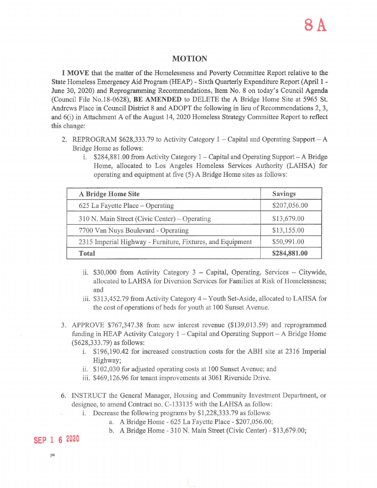## MOTION

I MOVE that the matter of the Homelessness and Poverty Committee Report relative to the State Homeless Emergency Aid Program (HEAP) - Sixth Quarterly Expenditure Report (April I - June 30, 2020) and Reprogramming Recommendations, Item No. 8 on today's Council Agenda (Council File No.18-0628), BE AMENDED to DELETE the A Bridge Home Site at 5965 St. Andrews Place in Council District 8 and ADOPT the following in lieu of Recommendations 2, 3, and 6(i) in Attachment A of the August 14, 2020 Homeless Strategy Committee Report to reflect this change:

- 2. REPROGRAM  $$628,333.79$  to Activity Category 1 Capital and Operating Support A Bridge Home as follows:
	- 1.  $$284,881.00$  from Activity Category 1 Capital and Operating Support A Bridge Home, allocated to Los Angeles Homeless Services Authority (LAHSA) for operating and equipment at five (5) A Bridge Home sites as follows:

| A Bridge Home Site                                         | <b>Savings</b> |
|------------------------------------------------------------|----------------|
| 625 La Fayette Place – Operating                           | \$207,056.00   |
| 310 N. Main Street (Civic Center) – Operating              | \$13,679.00    |
| 7700 Van Nuys Boulevard - Operating                        | \$13,155.00    |
| 2315 Imperial Highway - Furniture, Fixtures, and Equipment | \$50,991.00    |
| Total                                                      | \$284,881.00   |

- ii.  $$30,000$  from Activity Category 3 Capital, Operating, Services Citywide, allocated to LAHSA for Diversion Services for Families at Risk of Homelessness; and
- iii. \$313,452.79 from Activity Category 4- Youth Set-Aside, allocated to LAHSA for the cost of operations of beds for youth at 100 Sunset A venue.
- 3. APPROVE \$767,347.38 from new interest revenue (\$139,013.59) and reprogrammed funding in HEAP Activity Category 1 – Capital and Operating Support – A Bridge Home (\$628,333.79) as follows:
	- i. \$196,190.42 for increased construction costs for the ABH site at 2316 Imperial Highway;
	- ii. \$102,030 for adjusted operating costs at 100 Sunset Avenue; and
	- iii. \$469,126.96 for tenant improvements at 3061 Riverside Drive.
- 6. INSTRUCT the General Manager, Housing and Community Investment Department, or designee, to amend Contract no. C-133135 with the LAHSA as follow:
	- i. Decrease the following programs by \$1,228,333.79 as follows:
		- a. A Bridge Home 625 La Fayette Place- \$207,056.00;
		- b. A Bridge Home 310 N. Main Street (Civic Center) \$13,679.00;

## **SEP 1 6 2020**